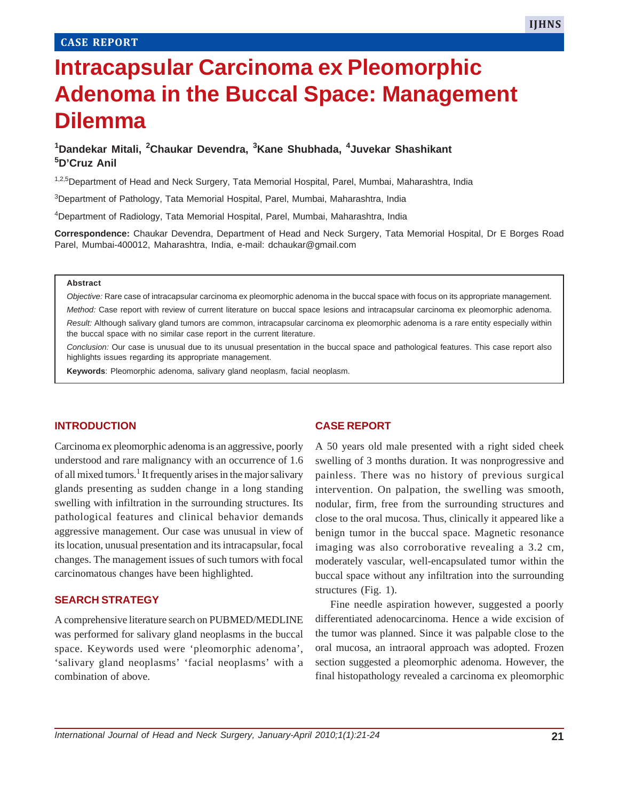# **Intracapsular Carcinoma ex Pleomorphic Adenoma in the Buccal Space: Management Dilemma**

## **1 Dandekar Mitali, <sup>2</sup> Chaukar Devendra, <sup>3</sup> Kane Shubhada, 4Juvekar Shashikant 5D'Cruz Anil**

<sup>1,2,5</sup>Department of Head and Neck Surgery, Tata Memorial Hospital, Parel, Mumbai, Maharashtra, India

3Department of Pathology, Tata Memorial Hospital, Parel, Mumbai, Maharashtra, India

4Department of Radiology, Tata Memorial Hospital, Parel, Mumbai, Maharashtra, India

**Correspondence:** Chaukar Devendra, Department of Head and Neck Surgery, Tata Memorial Hospital, Dr E Borges Road Parel, Mumbai-400012, Maharashtra, India, e-mail: dchaukar@gmail.com

#### **Abstract**

*Objective:* Rare case of intracapsular carcinoma ex pleomorphic adenoma in the buccal space with focus on its appropriate management.

*Method:* Case report with review of current literature on buccal space lesions and intracapsular carcinoma ex pleomorphic adenoma.

*Result:* Although salivary gland tumors are common, intracapsular carcinoma ex pleomorphic adenoma is a rare entity especially within the buccal space with no similar case report in the current literature.

*Conclusion:* Our case is unusual due to its unusual presentation in the buccal space and pathological features. This case report also highlights issues regarding its appropriate management.

**Keywords**: Pleomorphic adenoma, salivary gland neoplasm, facial neoplasm.

#### **INTRODUCTION**

Carcinoma ex pleomorphic adenoma is an aggressive, poorly understood and rare malignancy with an occurrence of 1.6 of all mixed tumors.<sup>1</sup> It frequently arises in the major salivary glands presenting as sudden change in a long standing swelling with infiltration in the surrounding structures. Its pathological features and clinical behavior demands aggressive management. Our case was unusual in view of its location, unusual presentation and its intracapsular, focal changes. The management issues of such tumors with focal carcinomatous changes have been highlighted.

#### **SEARCH STRATEGY**

A comprehensive literature search on PUBMED/MEDLINE was performed for salivary gland neoplasms in the buccal space. Keywords used were 'pleomorphic adenoma', 'salivary gland neoplasms' 'facial neoplasms' with a combination of above.

#### **CASE REPORT**

A 50 years old male presented with a right sided cheek swelling of 3 months duration. It was nonprogressive and painless. There was no history of previous surgical intervention. On palpation, the swelling was smooth, nodular, firm, free from the surrounding structures and close to the oral mucosa. Thus, clinically it appeared like a benign tumor in the buccal space. Magnetic resonance imaging was also corroborative revealing a 3.2 cm, moderately vascular, well-encapsulated tumor within the buccal space without any infiltration into the surrounding structures (Fig. 1).

Fine needle aspiration however, suggested a poorly differentiated adenocarcinoma. Hence a wide excision of the tumor was planned. Since it was palpable close to the oral mucosa, an intraoral approach was adopted. Frozen section suggested a pleomorphic adenoma. However, the final histopathology revealed a carcinoma ex pleomorphic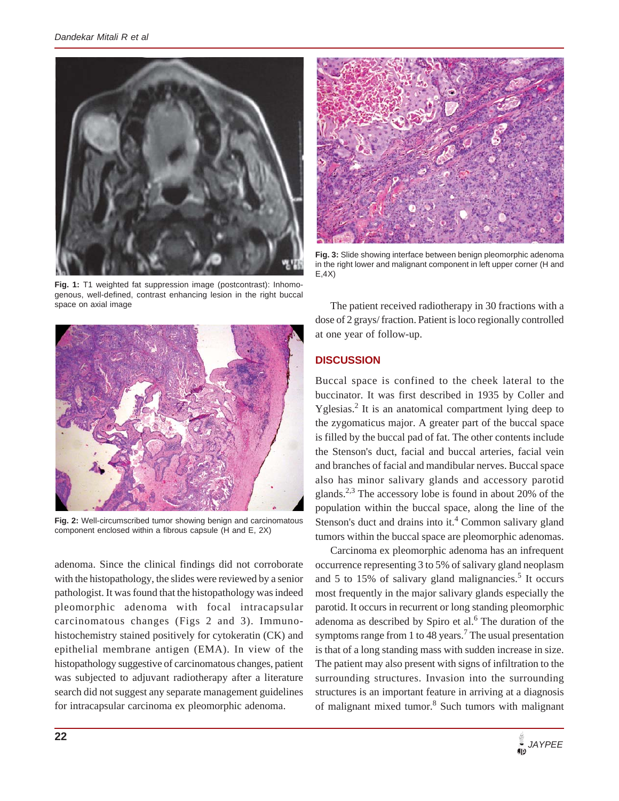

**Fig. 3:** Slide showing interface between benign pleomorphic adenoma in the right lower and malignant component in left upper corner (H and E,4X)

**Fig. 1:** T1 weighted fat suppression image (postcontrast): Inhomogenous, well-defined, contrast enhancing lesion in the right buccal space on axial image



**Fig. 2:** Well-circumscribed tumor showing benign and carcinomatous component enclosed within a fibrous capsule (H and E, 2X)

adenoma. Since the clinical findings did not corroborate with the histopathology, the slides were reviewed by a senior pathologist. It was found that the histopathology was indeed pleomorphic adenoma with focal intracapsular carcinomatous changes (Figs 2 and 3). Immunohistochemistry stained positively for cytokeratin (CK) and epithelial membrane antigen (EMA). In view of the histopathology suggestive of carcinomatous changes, patient was subjected to adjuvant radiotherapy after a literature search did not suggest any separate management guidelines for intracapsular carcinoma ex pleomorphic adenoma.

The patient received radiotherapy in 30 fractions with a dose of 2 grays/ fraction. Patient is loco regionally controlled at one year of follow-up.

## **DISCUSSION**

Buccal space is confined to the cheek lateral to the buccinator. It was first described in 1935 by Coller and Yglesias.<sup>2</sup> It is an anatomical compartment lying deep to the zygomaticus major. A greater part of the buccal space is filled by the buccal pad of fat. The other contents include the Stenson's duct, facial and buccal arteries, facial vein and branches of facial and mandibular nerves. Buccal space also has minor salivary glands and accessory parotid glands.<sup>2,3</sup> The accessory lobe is found in about 20% of the population within the buccal space, along the line of the Stenson's duct and drains into it. $4$  Common salivary gland tumors within the buccal space are pleomorphic adenomas.

Carcinoma ex pleomorphic adenoma has an infrequent occurrence representing 3 to 5% of salivary gland neoplasm and 5 to 15% of salivary gland malignancies.<sup>5</sup> It occurs most frequently in the major salivary glands especially the parotid. It occurs in recurrent or long standing pleomorphic adenoma as described by Spiro et al.<sup>6</sup> The duration of the symptoms range from 1 to 48 years.<sup>7</sup> The usual presentation is that of a long standing mass with sudden increase in size. The patient may also present with signs of infiltration to the surrounding structures. Invasion into the surrounding structures is an important feature in arriving at a diagnosis of malignant mixed tumor.<sup>8</sup> Such tumors with malignant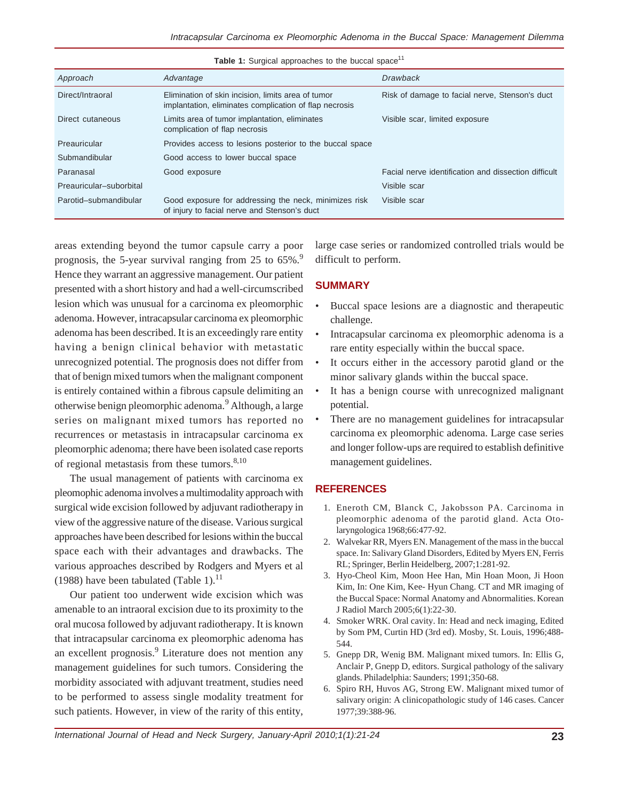| <b>Table 1.</b> Surgical approaches to the buccal space |                                                                                                              |                                                      |
|---------------------------------------------------------|--------------------------------------------------------------------------------------------------------------|------------------------------------------------------|
| Approach                                                | Advantage                                                                                                    | <b>Drawback</b>                                      |
| Direct/Intraoral                                        | Elimination of skin incision, limits area of tumor<br>implantation, eliminates complication of flap necrosis | Risk of damage to facial nerve, Stenson's duct       |
| Direct cutaneous                                        | Limits area of tumor implantation, eliminates<br>complication of flap necrosis                               | Visible scar, limited exposure                       |
| Preauricular                                            | Provides access to lesions posterior to the buccal space                                                     |                                                      |
| Submandibular                                           | Good access to lower buccal space                                                                            |                                                      |
| Paranasal                                               | Good exposure                                                                                                | Facial nerve identification and dissection difficult |
| Preauricular-suborbital                                 |                                                                                                              | Visible scar                                         |
| Parotid-submandibular                                   | Good exposure for addressing the neck, minimizes risk<br>of injury to facial nerve and Stenson's duct        | Visible scar                                         |

**Table 1:** Surgical approaches to the buccal space11

areas extending beyond the tumor capsule carry a poor prognosis, the 5-year survival ranging from 25 to 65%.<sup>9</sup> Hence they warrant an aggressive management. Our patient presented with a short history and had a well-circumscribed lesion which was unusual for a carcinoma ex pleomorphic adenoma. However, intracapsular carcinoma ex pleomorphic adenoma has been described. It is an exceedingly rare entity having a benign clinical behavior with metastatic unrecognized potential. The prognosis does not differ from that of benign mixed tumors when the malignant component is entirely contained within a fibrous capsule delimiting an otherwise benign pleomorphic adenoma.<sup>9</sup> Although, a large series on malignant mixed tumors has reported no recurrences or metastasis in intracapsular carcinoma ex pleomorphic adenoma; there have been isolated case reports of regional metastasis from these tumors. $8,10$ 

The usual management of patients with carcinoma ex pleomophic adenoma involves a multimodality approach with surgical wide excision followed by adjuvant radiotherapy in view of the aggressive nature of the disease. Various surgical approaches have been described for lesions within the buccal space each with their advantages and drawbacks. The various approaches described by Rodgers and Myers et al (1988) have been tabulated (Table 1).<sup>11</sup>

Our patient too underwent wide excision which was amenable to an intraoral excision due to its proximity to the oral mucosa followed by adjuvant radiotherapy. It is known that intracapsular carcinoma ex pleomorphic adenoma has an excellent prognosis.<sup>9</sup> Literature does not mention any management guidelines for such tumors. Considering the morbidity associated with adjuvant treatment, studies need to be performed to assess single modality treatment for such patients. However, in view of the rarity of this entity,

large case series or randomized controlled trials would be difficult to perform.

### **SUMMARY**

- Buccal space lesions are a diagnostic and therapeutic challenge.
- Intracapsular carcinoma ex pleomorphic adenoma is a rare entity especially within the buccal space.
- It occurs either in the accessory parotid gland or the minor salivary glands within the buccal space.
- It has a benign course with unrecognized malignant potential.
- There are no management guidelines for intracapsular carcinoma ex pleomorphic adenoma. Large case series and longer follow-ups are required to establish definitive management guidelines.

## **REFERENCES**

- 1. Eneroth CM, Blanck C, Jakobsson PA. Carcinoma in pleomorphic adenoma of the parotid gland. Acta Otolaryngologica 1968;66:477-92.
- 2. Walvekar RR, Myers EN. Management of the mass in the buccal space. In: Salivary Gland Disorders, Edited by Myers EN, Ferris RL; Springer, Berlin Heidelberg, 2007;1:281-92.
- 3. Hyo-Cheol Kim, Moon Hee Han, Min Hoan Moon, Ji Hoon Kim, In: One Kim, Kee- Hyun Chang. CT and MR imaging of the Buccal Space: Normal Anatomy and Abnormalities. Korean J Radiol March 2005;6(1):22-30.
- 4. Smoker WRK. Oral cavity. In: Head and neck imaging, Edited by Som PM, Curtin HD (3rd ed). Mosby, St. Louis, 1996;488- 544.
- 5. Gnepp DR, Wenig BM. Malignant mixed tumors. In: Ellis G, Anclair P, Gnepp D, editors. Surgical pathology of the salivary glands. Philadelphia: Saunders; 1991;350-68.
- 6. Spiro RH, Huvos AG, Strong EW. Malignant mixed tumor of salivary origin: A clinicopathologic study of 146 cases. Cancer 1977;39:388-96.